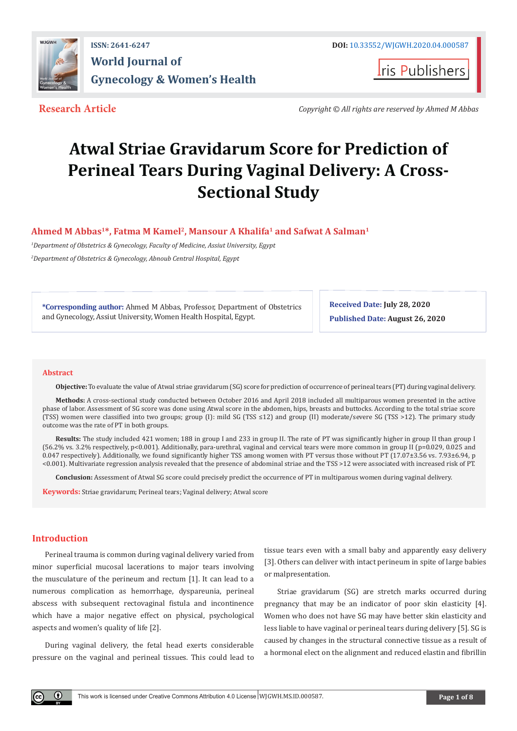

**Iris Publishers** 

**Research Article** *Copyright © All rights are reserved by Ahmed M Abbas*

# **Atwal Striae Gravidarum Score for Prediction of Perineal Tears During Vaginal Delivery: A Cross-Sectional Study**

**Ahmed M Abbas1\*, Fatma M Kamel2, Mansour A Khalifa1 and Safwat A Salman1**

*1 Department of Obstetrics & Gynecology, Faculty of Medicine, Assiut University, Egypt 2 Department of Obstetrics & Gynecology, Abnoub Central Hospital, Egypt*

**\*Corresponding author:** Ahmed M Abbas, Professor, Department of Obstetrics and Gynecology, Assiut University, Women Health Hospital, Egypt.

**Received Date: July 28, 2020 Published Date: August 26, 2020**

#### **Abstract**

**Objective:** To evaluate the value of Atwal striae gravidarum (SG) score for prediction of occurrence of perineal tears (PT) during vaginal delivery.

**Methods:** A cross-sectional study conducted between October 2016 and April 2018 included all multiparous women presented in the active phase of labor. Assessment of SG score was done using Atwal score in the abdomen, hips, breasts and buttocks. According to the total striae score (TSS) women were classified into two groups; group (I): mild SG (TSS ≤12) and group (II) moderate/severe SG (TSS >12). The primary study outcome was the rate of PT in both groups.

**Results:** The study included 421 women; 188 in group I and 233 in group II. The rate of PT was significantly higher in group II than group I (56.2% vs. 3.2% respectively, p<0.001). Additionally, para-urethral, vaginal and cervical tears were more common in group II (p=0.029, 0.025 and 0.047 respectively). Additionally, we found significantly higher TSS among women with PT versus those without PT (17.07±3.56 vs. 7.93±6.94, p <0.001). Multivariate regression analysis revealed that the presence of abdominal striae and the TSS >12 were associated with increased risk of PT.

**Conclusion:** Assessment of Atwal SG score could precisely predict the occurrence of PT in multiparous women during vaginal delivery.

**Keywords:** Striae gravidarum; Perineal tears; Vaginal delivery; Atwal score

# **Introduction**

Perineal trauma is common during vaginal delivery varied from minor superficial mucosal lacerations to major tears involving the musculature of the perineum and rectum [1]. It can lead to a numerous complication as hemorrhage, dyspareunia, perineal abscess with subsequent rectovaginal fistula and incontinence which have a major negative effect on physical, psychological aspects and women's quality of life [2].

During vaginal delivery, the fetal head exerts considerable pressure on the vaginal and perineal tissues. This could lead to

tissue tears even with a small baby and apparently easy delivery [3]. Others can deliver with intact perineum in spite of large babies or malpresentation.

Striae gravidarum (SG) are stretch marks occurred during pregnancy that may be an indicator of poor skin elasticity [4]. Women who does not have SG may have better skin elasticity and less liable to have vaginal or perineal tears during delivery [5]. SG is caused by changes in the structural connective tissue as a result of a hormonal elect on the alignment and reduced elastin and fibrillin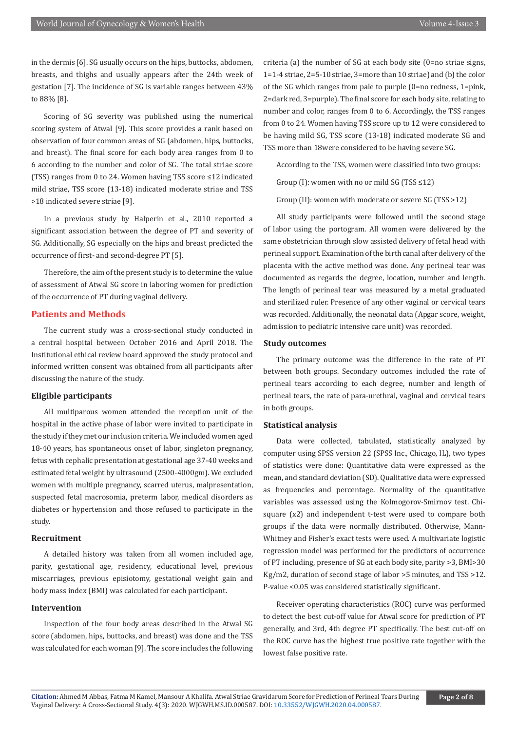in the dermis [6]. SG usually occurs on the hips, buttocks, abdomen, breasts, and thighs and usually appears after the 24th week of gestation [7]. The incidence of SG is variable ranges between 43% to 88% [8].

Scoring of SG severity was published using the numerical scoring system of Atwal [9]. This score provides a rank based on observation of four common areas of SG (abdomen, hips, buttocks, and breast). The final score for each body area ranges from 0 to 6 according to the number and color of SG. The total striae score (TSS) ranges from 0 to 24. Women having TSS score ≤12 indicated mild striae, TSS score (13-18) indicated moderate striae and TSS >18 indicated severe striae [9].

In a previous study by Halperin et al., 2010 reported a significant association between the degree of PT and severity of SG. Additionally, SG especially on the hips and breast predicted the occurrence of first- and second-degree PT [5].

Therefore, the aim of the present study is to determine the value of assessment of Atwal SG score in laboring women for prediction of the occurrence of PT during vaginal delivery.

#### **Patients and Methods**

The current study was a cross-sectional study conducted in a central hospital between October 2016 and April 2018. The Institutional ethical review board approved the study protocol and informed written consent was obtained from all participants after discussing the nature of the study.

#### **Eligible participants**

All multiparous women attended the reception unit of the hospital in the active phase of labor were invited to participate in the study if they met our inclusion criteria. We included women aged 18-40 years, has spontaneous onset of labor, singleton pregnancy, fetus with cephalic presentation at gestational age 37-40 weeks and estimated fetal weight by ultrasound (2500-4000gm). We excluded women with multiple pregnancy, scarred uterus, malpresentation, suspected fetal macrosomia, preterm labor, medical disorders as diabetes or hypertension and those refused to participate in the study.

### **Recruitment**

A detailed history was taken from all women included age, parity, gestational age, residency, educational level, previous miscarriages, previous episiotomy, gestational weight gain and body mass index (BMI) was calculated for each participant.

#### **Intervention**

Inspection of the four body areas described in the Atwal SG score (abdomen, hips, buttocks, and breast) was done and the TSS was calculated for each woman [9]. The score includes the following

criteria (a) the number of SG at each body site (0=no striae signs, 1=1-4 striae, 2=5-10 striae, 3=more than 10 striae) and (b) the color of the SG which ranges from pale to purple (0=no redness, 1=pink, 2=dark red, 3=purple). The final score for each body site, relating to number and color, ranges from 0 to 6. Accordingly, the TSS ranges from 0 to 24. Women having TSS score up to 12 were considered to be having mild SG, TSS score (13-18) indicated moderate SG and TSS more than 18were considered to be having severe SG.

According to the TSS, women were classified into two groups:

Group (I): women with no or mild SG (TSS ≤12)

Group (II): women with moderate or severe SG (TSS >12)

All study participants were followed until the second stage of labor using the portogram. All women were delivered by the same obstetrician through slow assisted delivery of fetal head with perineal support. Examination of the birth canal after delivery of the placenta with the active method was done. Any perineal tear was documented as regards the degree, location, number and length. The length of perineal tear was measured by a metal graduated and sterilized ruler. Presence of any other vaginal or cervical tears was recorded. Additionally, the neonatal data (Apgar score, weight, admission to pediatric intensive care unit) was recorded.

#### **Study outcomes**

The primary outcome was the difference in the rate of PT between both groups. Secondary outcomes included the rate of perineal tears according to each degree, number and length of perineal tears, the rate of para-urethral, vaginal and cervical tears in both groups.

#### **Statistical analysis**

Data were collected, tabulated, statistically analyzed by computer using SPSS version 22 (SPSS Inc., Chicago, IL), two types of statistics were done: Quantitative data were expressed as the mean, and standard deviation (SD). Qualitative data were expressed as frequencies and percentage. Normality of the quantitative variables was assessed using the Kolmogorov-Smirnov test. Chisquare (x2) and independent t-test were used to compare both groups if the data were normally distributed. Otherwise, Mann-Whitney and Fisher's exact tests were used. A multivariate logistic regression model was performed for the predictors of occurrence of PT including, presence of SG at each body site, parity >3, BMI>30 Kg/m2, duration of second stage of labor >5 minutes, and TSS >12. P-value <0.05 was considered statistically significant.

Receiver operating characteristics (ROC) curve was performed to detect the best cut-off value for Atwal score for prediction of PT generally, and 3rd, 4th degree PT specifically. The best cut-off on the ROC curve has the highest true positive rate together with the lowest false positive rate.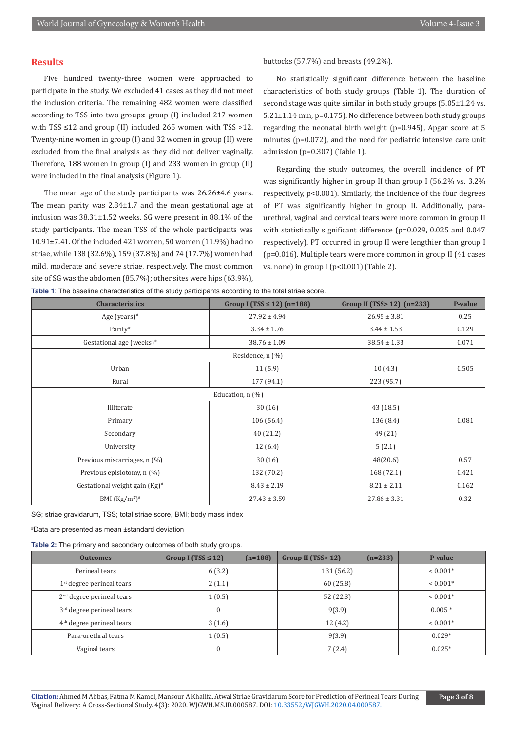#### **Results**

Five hundred twenty-three women were approached to participate in the study. We excluded 41 cases as they did not meet the inclusion criteria. The remaining 482 women were classified according to TSS into two groups: group (I) included 217 women with TSS ≤12 and group (II) included 265 women with TSS >12. Twenty-nine women in group (I) and 32 women in group (II) were excluded from the final analysis as they did not deliver vaginally. Therefore, 188 women in group (I) and 233 women in group (II) were included in the final analysis (Figure 1).

The mean age of the study participants was 26.26±4.6 years. The mean parity was 2.84±1.7 and the mean gestational age at inclusion was 38.31±1.52 weeks. SG were present in 88.1% of the study participants. The mean TSS of the whole participants was 10.91±7.41. Of the included 421 women, 50 women (11.9%) had no striae, while 138 (32.6%), 159 (37.8%) and 74 (17.7%) women had mild, moderate and severe striae, respectively. The most common site of SG was the abdomen (85.7%); other sites were hips (63.9%),

#### buttocks (57.7%) and breasts (49.2%).

No statistically significant difference between the baseline characteristics of both study groups (Table 1). The duration of second stage was quite similar in both study groups (5.05±1.24 vs. 5.21±1.14 min, p=0.175). No difference between both study groups regarding the neonatal birth weight (p=0.945), Apgar score at 5 minutes (p=0.072), and the need for pediatric intensive care unit admission (p=0.307) (Table 1).

Regarding the study outcomes, the overall incidence of PT was significantly higher in group II than group I (56.2% vs. 3.2% respectively, p<0.001). Similarly, the incidence of the four degrees of PT was significantly higher in group II. Additionally, paraurethral, vaginal and cervical tears were more common in group II with statistically significant difference (p=0.029, 0.025 and 0.047 respectively). PT occurred in group II were lengthier than group I (p=0.016). Multiple tears were more common in group II (41 cases vs. none) in group I ( $p<0.001$ ) (Table 2).

**Table 1**: The baseline characteristics of the study participants according to the total striae score.

| The sacrams changed there or the class participatite accelering to the telefonities |                                 |                                |         |  |  |  |  |
|-------------------------------------------------------------------------------------|---------------------------------|--------------------------------|---------|--|--|--|--|
| <b>Characteristics</b>                                                              | Group I (TSS $\leq$ 12) (n=188) | Group II (TSS $> 12$ ) (n=233) | P-value |  |  |  |  |
| Age (years) $#$                                                                     | $27.92 \pm 4.94$                | $26.95 \pm 3.81$               | 0.25    |  |  |  |  |
| Parity#                                                                             | $3.34 \pm 1.76$                 | $3.44 \pm 1.53$                | 0.129   |  |  |  |  |
| Gestational age (weeks) <sup>#</sup>                                                | $38.76 \pm 1.09$                | $38.54 \pm 1.33$               | 0.071   |  |  |  |  |
| Residence, n (%)                                                                    |                                 |                                |         |  |  |  |  |
| Urban                                                                               | 11(5.9)                         | 10(4.3)                        | 0.505   |  |  |  |  |
| Rural                                                                               | 177 (94.1)                      | 223 (95.7)                     |         |  |  |  |  |
| Education, n (%)                                                                    |                                 |                                |         |  |  |  |  |
| Illiterate                                                                          | 30(16)                          | 43 (18.5)                      |         |  |  |  |  |
| Primary                                                                             | 106(56.4)                       | 136 (8.4)                      | 0.081   |  |  |  |  |
| Secondary                                                                           | 40 (21.2)                       | 49 (21)                        |         |  |  |  |  |
| University                                                                          | 12(6.4)                         | 5(2.1)                         |         |  |  |  |  |
| Previous miscarriages, n (%)                                                        | 30(16)                          | 48(20.6)                       | 0.57    |  |  |  |  |
| Previous episiotomy, n (%)                                                          | 132 (70.2)                      | 168 (72.1)                     | 0.421   |  |  |  |  |
| Gestational weight gain $(Kg)^*$                                                    | $8.43 \pm 2.19$                 | $8.21 \pm 2.11$                | 0.162   |  |  |  |  |
| BMI $(Kg/m^2)^*$                                                                    | $27.43 \pm 3.59$                | $27.86 \pm 3.31$               | 0.32    |  |  |  |  |

SG; striae gravidarum, TSS; total striae score, BMI; body mass index

# Data are presented as mean ±standard deviation

**Table 2:** The primary and secondary outcomes of both study groups.

| <b>Outcomes</b>             | Group I (TSS $\leq$ 12) | $(n=188)$ | Group II (TSS>12) | $(n=233)$ | P-value    |
|-----------------------------|-------------------------|-----------|-------------------|-----------|------------|
| Perineal tears              | 6(3.2)                  |           | 131 (56.2)        |           | $< 0.001*$ |
| $1st$ degree perineal tears | 2(1.1)                  |           | 60 (25.8)         |           | $< 0.001*$ |
| $2nd$ degree perineal tears | 1(0.5)                  |           | 52 (22.3)         |           | $< 0.001*$ |
| $3rd$ degree perineal tears |                         |           | 9(3.9)            |           | $0.005*$   |
| $4th$ degree perineal tears | 3(1.6)                  |           | 12(4.2)           |           | $0.001*$   |
| Para-urethral tears         | 1(0.5)                  |           | 9(3.9)            |           | $0.029*$   |
| Vaginal tears               |                         |           | 7(2.4)            |           | $0.025*$   |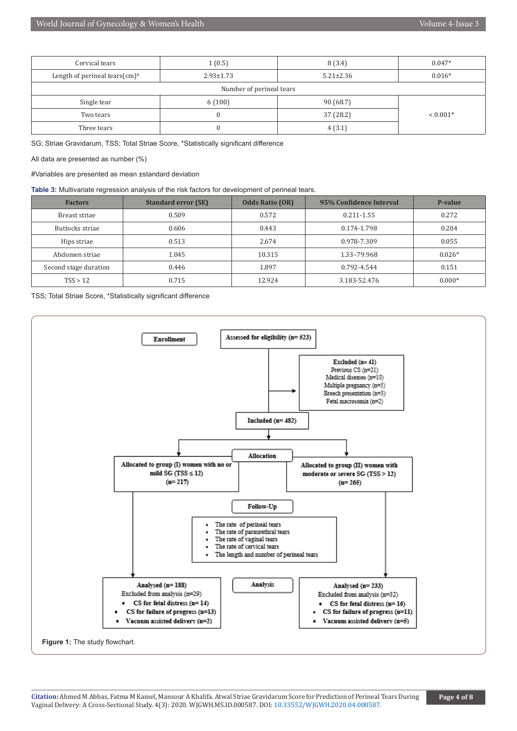| Cervical tears                    | 1(0.5)          | 8(3.4)          | $0.047*$   |  |
|-----------------------------------|-----------------|-----------------|------------|--|
| Length of perineal tears $(cm)^*$ | $2.93 \pm 1.73$ | $5.21 \pm 2.36$ | $0.016*$   |  |
| Number of perineal tears          |                 |                 |            |  |
| Single tear                       | 6(100)          | 90(68.7)        |            |  |
| Two tears                         |                 | 37 (28.2)       | $< 0.001*$ |  |
| Three tears                       |                 | 4(3.1)          |            |  |

SG; Striae Gravidarum, TSS; Total Striae Score, \*Statistically significant difference

All data are presented as number (%)

#Variables are presented as mean ±standard deviation

**Table 3:** Multivariate regression analysis of the risk factors for development of perineal tears.

| <b>Factors</b>        | <b>Standard error (SE)</b> | <b>Odds Ratio (OR)</b> | 95% Confidence Interval | P-value  |
|-----------------------|----------------------------|------------------------|-------------------------|----------|
| Breast striae         | 0.509                      | 0.572                  | $0.211 - 1.55$          | 0.272    |
| Buttocks striae       | 0.606                      | 0.443                  | 0.174-1.798             | 0.204    |
| Hips striae           | 0.513                      | 2.674                  | 0.978-7.309             | 0.055    |
| Abdomen striae        | 1.045                      | 10.315                 | 1.33-79.968             | $0.026*$ |
| Second stage duration | 0.446                      | 1.897                  | 0.792-4.544             | 0.151    |
| TSS > 12              | 0.715                      | 12.924                 | 3.183-52.476            | $0.000*$ |

TSS; Total Striae Score, \*Statistically significant difference



**Citation:** Ahmed M Abbas, Fatma M Kamel, Mansour A Khalifa. Atwal Striae Gravidarum Score for Prediction of Perineal Tears During Vaginal Delivery: A Cross-Sectional Study. 4(3): 2020. WJGWH.MS.ID.000587. DOI: [10.33552/WJGWH.2020.04.000587](http://dx.doi.org/10.33552/WJGWH.2020.04.000587).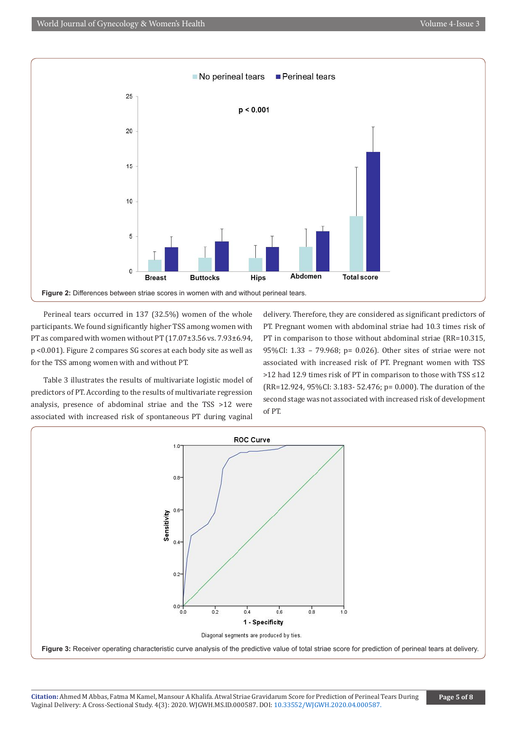

Perineal tears occurred in 137 (32.5%) women of the whole participants. We found significantly higher TSS among women with PT as compared with women without PT (17.07±3.56 vs. 7.93±6.94, p <0.001). Figure 2 compares SG scores at each body site as well as for the TSS among women with and without PT.

Table 3 illustrates the results of multivariate logistic model of predictors of PT. According to the results of multivariate regression analysis, presence of abdominal striae and the TSS >12 were associated with increased risk of spontaneous PT during vaginal delivery. Therefore, they are considered as significant predictors of PT. Pregnant women with abdominal striae had 10.3 times risk of PT in comparison to those without abdominal striae (RR=10.315, 95%CI: 1.33 – 79.968; p= 0.026). Other sites of striae were not associated with increased risk of PT. Pregnant women with TSS >12 had 12.9 times risk of PT in comparison to those with TSS ≤12 (RR=12.924, 95%CI: 3.183- 52.476; p= 0.000). The duration of the second stage was not associated with increased risk of development of PT.

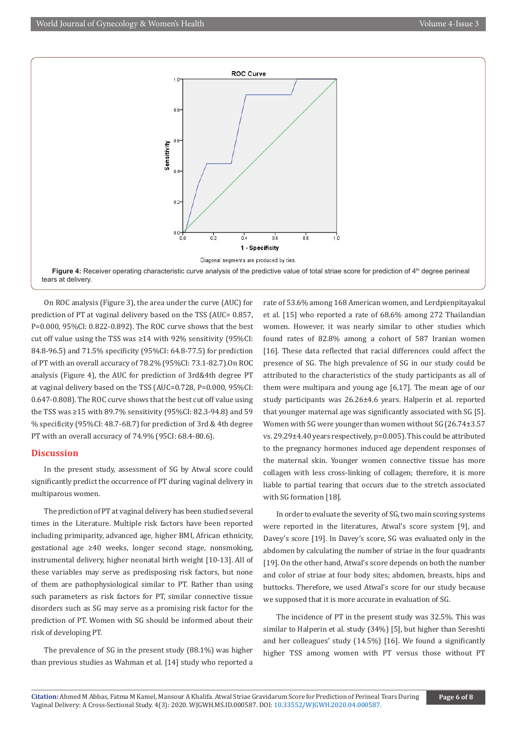

On ROC analysis (Figure 3), the area under the curve (AUC) for prediction of PT at vaginal delivery based on the TSS (AUC= 0.857, P=0.000, 95%CI: 0.822-0.892). The ROC curve shows that the best cut off value using the TSS was ≥14 with 92% sensitivity (95%CI: 84.8-96.5) and 71.5% specificity (95%CI: 64.8-77.5) for prediction of PT with an overall accuracy of 78.2% (95%CI: 73.1-82.7).On ROC analysis (Figure 4), the AUC for prediction of 3rd&4th degree PT at vaginal delivery based on the TSS (AUC=0.728, P=0.000, 95%CI: 0.647-0.808). The ROC curve shows that the best cut off value using the TSS was ≥15 with 89.7% sensitivity (95%CI: 82.3-94.8) and 59 % specificity (95%CI: 48.7-68.7) for prediction of 3rd & 4th degree PT with an overall accuracy of 74.9% (95CI: 68.4-80.6).

#### **Discussion**

In the present study, assessment of SG by Atwal score could significantly predict the occurrence of PT during vaginal delivery in multiparous women.

The prediction of PT at vaginal delivery has been studied several times in the Literature. Multiple risk factors have been reported including primiparity, advanced age, higher BMI, African ethnicity, gestational age ≥40 weeks, longer second stage, nonsmoking, instrumental delivery, higher neonatal birth weight [10-13]. All of these variables may serve as predisposing risk factors, but none of them are pathophysiological similar to PT. Rather than using such parameters as risk factors for PT, similar connective tissue disorders such as SG may serve as a promising risk factor for the prediction of PT. Women with SG should be informed about their risk of developing PT.

The prevalence of SG in the present study (88.1%) was higher than previous studies as Wahman et al. [14] study who reported a

rate of 53.6% among 168 American women, and Lerdpienpitayakul et al. [15] who reported a rate of 68.6% among 272 Thailandian women. However, it was nearly similar to other studies which found rates of 82.8% among a cohort of 587 Iranian women [16]. These data reflected that racial differences could affect the presence of SG. The high prevalence of SG in our study could be attributed to the characteristics of the study participants as all of them were multipara and young age [6,17]. The mean age of our study participants was 26.26±4.6 years. Halperin et al. reported that younger maternal age was significantly associated with SG [5]. Women with SG were younger than women without SG (26.74±3.57 vs. 29.29±4.40 years respectively, p=0.005). This could be attributed to the pregnancy hormones induced age dependent responses of the maternal skin. Younger women connective tissue has more collagen with less cross-linking of collagen; therefore, it is more liable to partial tearing that occurs due to the stretch associated with SG formation [18].

In order to evaluate the severity of SG, two main scoring systems were reported in the literatures, Atwal's score system [9], and Davey's score [19]. In Davey's score, SG was evaluated only in the abdomen by calculating the number of striae in the four quadrants [19]. On the other hand, Atwal's score depends on both the number and color of striae at four body sites; abdomen, breasts, hips and buttocks. Therefore, we used Atwal's score for our study because we supposed that it is more accurate in evaluation of SG.

The incidence of PT in the present study was 32.5%. This was similar to Halperin et al. study (34%) [5], but higher than Sereshti and her colleagues' study (14.5%) [16]. We found a significantly higher TSS among women with PT versus those without PT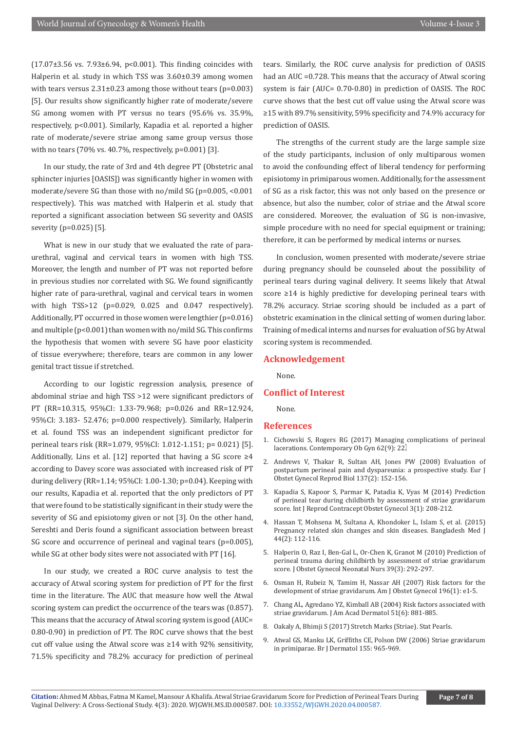(17.07±3.56 vs. 7.93±6.94, p<0.001). This finding coincides with Halperin et al. study in which TSS was 3.60±0.39 among women with tears versus  $2.31\pm0.23$  among those without tears (p=0.003) [5]. Our results show significantly higher rate of moderate/severe SG among women with PT versus no tears (95.6% vs. 35.9%, respectively, p<0.001). Similarly, Kapadia et al. reported a higher rate of moderate/severe striae among same group versus those with no tears (70% vs. 40.7%, respectively, p=0.001) [3].

In our study, the rate of 3rd and 4th degree PT (Obstetric anal sphincter injuries [OASIS]) was significantly higher in women with moderate/severe SG than those with no/mild SG (p=0.005, <0.001 respectively). This was matched with Halperin et al. study that reported a significant association between SG severity and OASIS severity (p=0.025) [5].

What is new in our study that we evaluated the rate of paraurethral, vaginal and cervical tears in women with high TSS. Moreover, the length and number of PT was not reported before in previous studies nor correlated with SG. We found significantly higher rate of para-urethral, vaginal and cervical tears in women with high TSS>12 (p=0.029, 0.025 and 0.047 respectively). Additionally, PT occurred in those women were lengthier (p=0.016) and multiple ( $p<0.001$ ) than women with no/mild SG. This confirms the hypothesis that women with severe SG have poor elasticity of tissue everywhere; therefore, tears are common in any lower genital tract tissue if stretched.

According to our logistic regression analysis, presence of abdominal striae and high TSS >12 were significant predictors of PT (RR=10.315, 95%CI: 1.33-79.968; p=0.026 and RR=12.924, 95%CI: 3.183- 52.476; p=0.000 respectively). Similarly, Halperin et al. found TSS was an independent significant predictor for perineal tears risk (RR=1.079, 95%CI: 1.012-1.151; p= 0.021) [5]. Additionally, Lins et al. [12] reported that having a SG score  $\geq 4$ according to Davey score was associated with increased risk of PT during delivery (RR=1.14; 95%CI: 1.00-1.30; p=0.04). Keeping with our results, Kapadia et al. reported that the only predictors of PT that were found to be statistically significant in their study were the severity of SG and episiotomy given or not [3]. On the other hand, Sereshti and Deris found a significant association between breast SG score and occurrence of perineal and vaginal tears (p=0.005), while SG at other body sites were not associated with PT [16].

In our study, we created a ROC curve analysis to test the accuracy of Atwal scoring system for prediction of PT for the first time in the literature. The AUC that measure how well the Atwal scoring system can predict the occurrence of the tears was (0.857). This means that the accuracy of Atwal scoring system is good (AUC= 0.80-0.90) in prediction of PT. The ROC curve shows that the best cut off value using the Atwal score was ≥14 with 92% sensitivity, 71.5% specificity and 78.2% accuracy for prediction of perineal

tears. Similarly, the ROC curve analysis for prediction of OASIS had an AUC =0.728. This means that the accuracy of Atwal scoring system is fair (AUC= 0.70-0.80) in prediction of OASIS. The ROC curve shows that the best cut off value using the Atwal score was ≥15 with 89.7% sensitivity, 59% specificity and 74.9% accuracy for prediction of OASIS.

The strengths of the current study are the large sample size of the study participants, inclusion of only multiparous women to avoid the confounding effect of liberal tendency for performing episiotomy in primiparous women. Additionally, for the assessment of SG as a risk factor, this was not only based on the presence or absence, but also the number, color of striae and the Atwal score are considered. Moreover, the evaluation of SG is non-invasive, simple procedure with no need for special equipment or training; therefore, it can be performed by medical interns or nurses.

In conclusion, women presented with moderate/severe striae during pregnancy should be counseled about the possibility of perineal tears during vaginal delivery. It seems likely that Atwal score ≥14 is highly predictive for developing perineal tears with 78.2% accuracy. Striae scoring should be included as a part of obstetric examination in the clinical setting of women during labor. Training of medical interns and nurses for evaluation of SG by Atwal scoring system is recommended.

#### **Acknowledgement**

None.

#### **Conflict of Interest**

None.

## **References**

- 1. Cichowski S, Rogers RG (2017) Managing complications of perineal lacerations. Contemporary Ob Gyn 62(9): 22.
- 2. [Andrews V, Thakar R, Sultan AH, Jones PW \(2008\) Evaluation of](https://pubmed.ncbi.nlm.nih.gov/17681663/) [postpartum perineal pain and dyspareunia: a prospective study. Eur J](https://pubmed.ncbi.nlm.nih.gov/17681663/) [Obstet Gynecol Reprod Biol 137\(2\): 152-156.](https://pubmed.ncbi.nlm.nih.gov/17681663/)
- 3. [Kapadia S, Kapoor S, Parmar K, Patadia K, Vyas M \(2014\) Prediction](https://www.ijrcog.org/index.php/ijrcog/article/view/820) [of perineal tear during childbirth by assessment of striae gravidarum](https://www.ijrcog.org/index.php/ijrcog/article/view/820) [score. Int J Reprod Contracept Obstet Gynecol 3\(1\): 208-212.](https://www.ijrcog.org/index.php/ijrcog/article/view/820)
- 4. Hassan T, Mohsena M, Sultana A, Khondoker L, Islam S, et al. (2015) Pregnancy related skin changes and skin diseases. Bangladesh Med J 44(2): 112-116.
- 5. [Halperin O, Raz I, Ben-Gal L, Or-Chen K, Granot M \(2010\) Prediction of](https://pubmed.ncbi.nlm.nih.gov/20576071/) [perineal trauma during childbirth by assessment of striae gravidarum](https://pubmed.ncbi.nlm.nih.gov/20576071/) [score. J Obstet Gynecol Neonatal Nurs 39\(3\): 292-297.](https://pubmed.ncbi.nlm.nih.gov/20576071/)
- 6. [Osman H, Rubeiz N, Tamim H, Nassar AH \(2007\) Risk factors for the](https://pubmed.ncbi.nlm.nih.gov/17240237/) [development of striae gravidarum. Am J Obstet Gynecol 196\(1\): e1-5.](https://pubmed.ncbi.nlm.nih.gov/17240237/)
- 7. [Chang AL, Agredano YZ, Kimball AB \(2004\) Risk factors associated with](https://pubmed.ncbi.nlm.nih.gov/15583577/) [striae gravidarum. J Am Acad Dermatol 51\(6\): 881-885.](https://pubmed.ncbi.nlm.nih.gov/15583577/)
- 8. Oakaly A, Bhimji S (2017) Stretch Marks (Striae). Stat Pearls.
- 9. Atwal GS, Manku LK, Griffiths CE, Polson DW (2006) Striae gravidarum in primiparae. Br J Dermatol 155: 965-969.